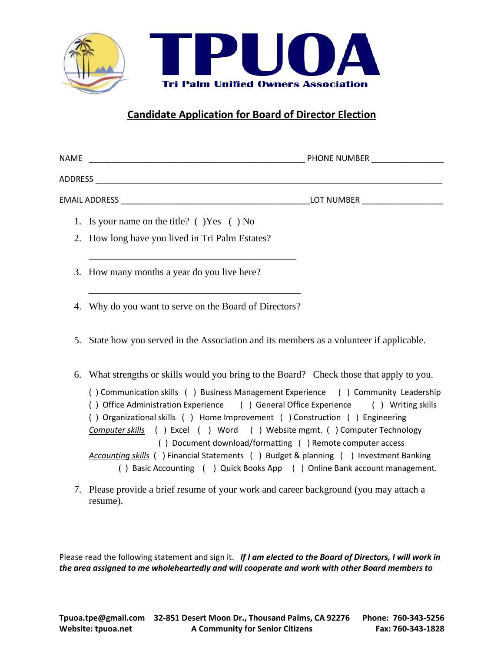

## **Candidate Application for Board of Director Election**

| NAME                                               | PHONE NUMBER |
|----------------------------------------------------|--------------|
| ADDRESS                                            |              |
| EMAIL ADDRESS                                      | LOT NUMBER   |
| 1. Is your name on the title? $($ $)$ Yes $( )$ No |              |

- 2. How long have you lived in Tri Palm Estates?
- 3. How many months a year do you live here?
- 4. Why do you want to serve on the Board of Directors?

\_\_\_\_\_\_\_\_\_\_\_\_\_\_\_\_\_\_\_\_\_\_\_\_\_\_\_\_\_\_\_\_\_\_\_\_\_\_\_\_\_\_

\_\_\_\_\_\_\_\_\_\_\_\_\_\_\_\_\_\_\_\_\_\_\_\_\_\_\_\_\_\_\_\_\_\_\_\_\_\_\_\_\_\_\_

- 5. State how you served in the Association and its members as a volunteer if applicable.
- 6. What strengths or skills would you bring to the Board? Check those that apply to you.

( ) Communication skills ( ) Business Management Experience ( ) Community Leadership ( ) Office Administration Experience ( ) General Office Experience ( ) Writing skills ( ) Organizational skills ( ) Home Improvement ( ) Construction ( ) Engineering *Computer skills* ( ) Excel ( ) Word ( ) Website mgmt. ( ) Computer Technology ( ) Document download/formatting ( ) Remote computer access *Accounting skills* ( ) Financial Statements ( ) Budget & planning ( ) Investment Banking ( ) Basic Accounting ( ) Quick Books App ( ) Online Bank account management.

7. Please provide a brief resume of your work and career background (you may attach a resume).

Please read the following statement and sign it. *If I am elected to the Board of Directors, I will work in the area assigned to me wholeheartedly and will cooperate and work with other Board members to*